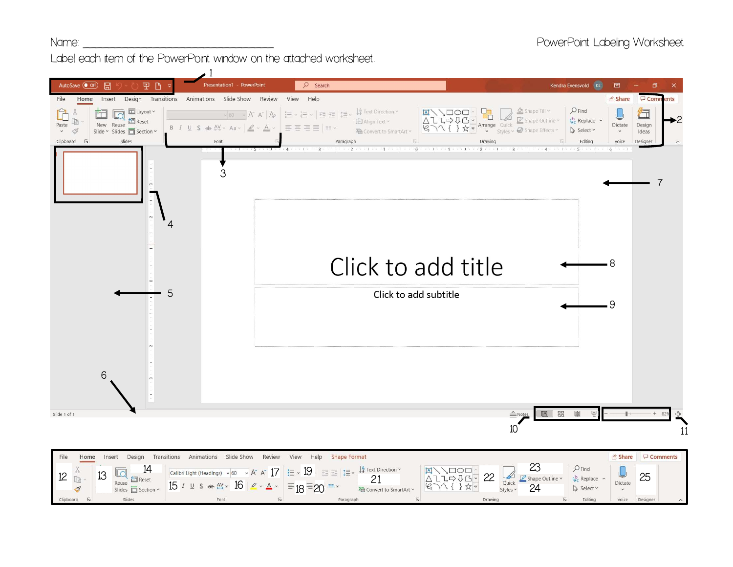Label each item of the PowerPoint window on the attached worksheet.



|           | Home                                         | Insert | Design                                       | Transitions<br>Animations Slide Show Review View Help Shape Format                                                                                                                                                                                                                                                            |                               |                                                                                                             |                                                             |                                                     |                | hare <del>□</del> Comments |
|-----------|----------------------------------------------|--------|----------------------------------------------|-------------------------------------------------------------------------------------------------------------------------------------------------------------------------------------------------------------------------------------------------------------------------------------------------------------------------------|-------------------------------|-------------------------------------------------------------------------------------------------------------|-------------------------------------------------------------|-----------------------------------------------------|----------------|----------------------------|
|           | $\mathrel{\mathop{\mathcal{S}_{}}\nolimits}$ | 13     | 14<br>$\sqrt{2}$ Reset<br>Reuse $\Box$ Reset | $\frac{1}{2}$ Calibri Light (Headings) $\sim$ 60 $\sim$ A <sup>*</sup> A <sup>*</sup> 17 = $\approx$ 19 = $\equiv$ $\frac{19}{25}$ = $\frac{15}{25}$ $\sim$ 4 <sup>4</sup> Text Direction<br>$\sim$ 15 $\frac{1}{2}$ 5 $\Rightarrow$ $\frac{1}{2}$ 6 $\geq$ $\sim$ $\triangle$ $\sim$ $\equiv$ 18 $\equiv$ 20 $\equiv$ $\sim$ | $-1$<br>Convert to SmartArt ~ | <b>OOL</b><br>22<br>$L \Rightarrow U \subseteq \neg$<br>$\frac{1}{2}$ $\frac{1}{2}$ $\frac{1}{2}$<br>$16 -$ | $\frac{1}{\frac{1}{x^{2}}}$ Shape Outline $\frac{1}{x^{2}}$ | $Q_C$ Replace $\sim$<br>$\rightarrow$ Select $\sim$ | <b>Dictate</b> | 25                         |
| Clipboard |                                              |        | Slides                                       |                                                                                                                                                                                                                                                                                                                               | Paragraph                     |                                                                                                             |                                                             |                                                     | Voice          | Designer                   |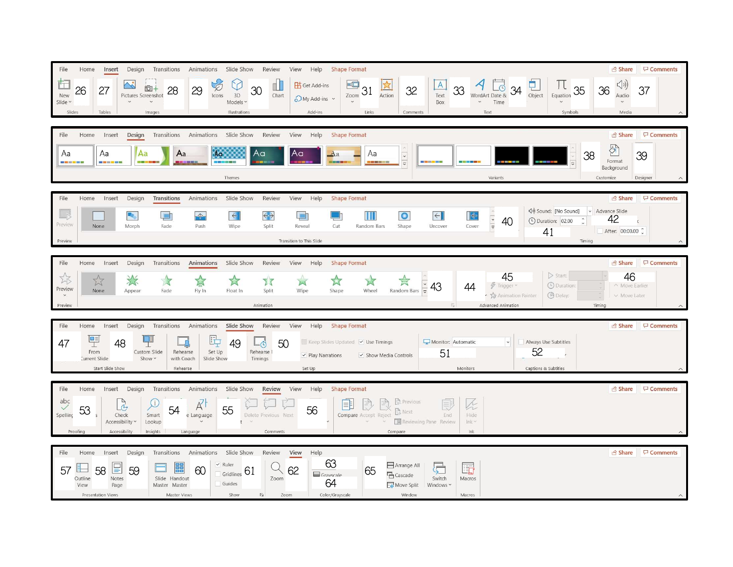